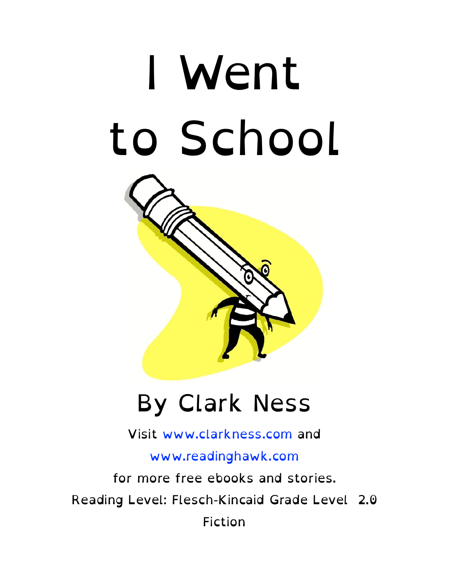# I Went to School



#### By Clark Ness

Visit [www.clarkness.com](http://www.clarkness.com) and

[www.readinghawk.com](http://www.readinghawk.com)

for more free ebooks and stories. Reading Level: Flesch-Kincaid Grade Level 2.0 Fiction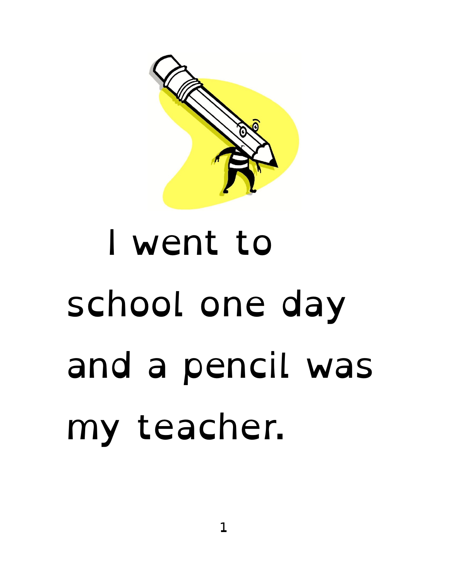

#### I went to school one day and a pencil was my teacher.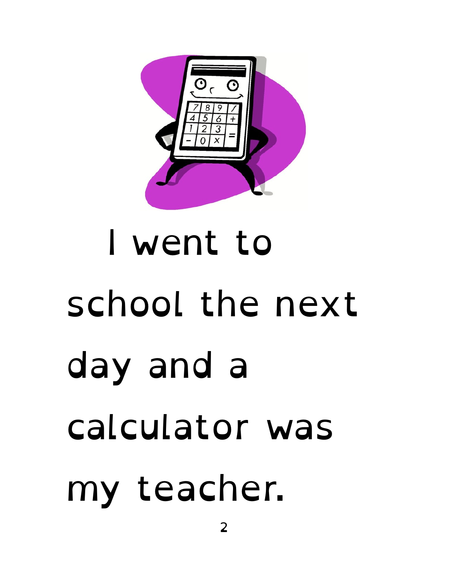

# I went to school the next day and a calculator was my teacher.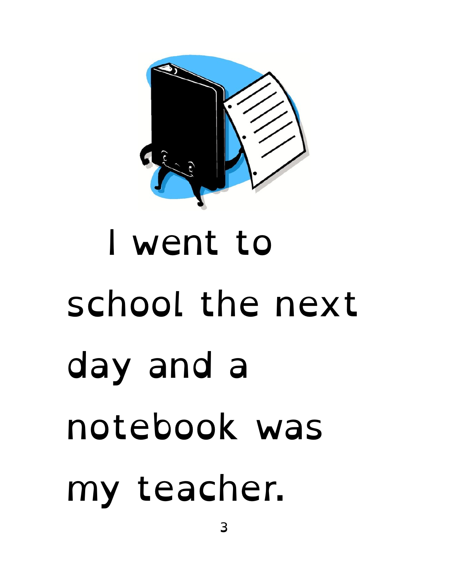

# I went to school the next day and a notebook was my teacher.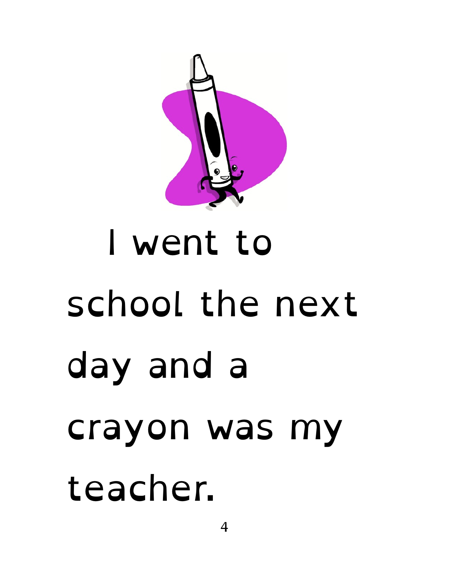

#### I went to school the next day and a crayon was my teacher.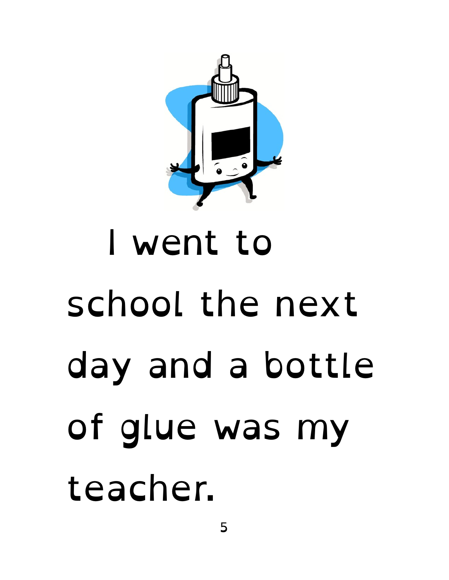

### I went to school the next day and a bottle of glue was my teacher.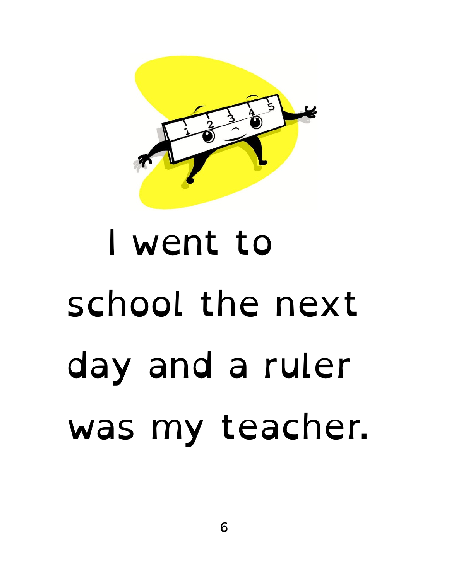

#### I went to school the next day and a ruler was my teacher.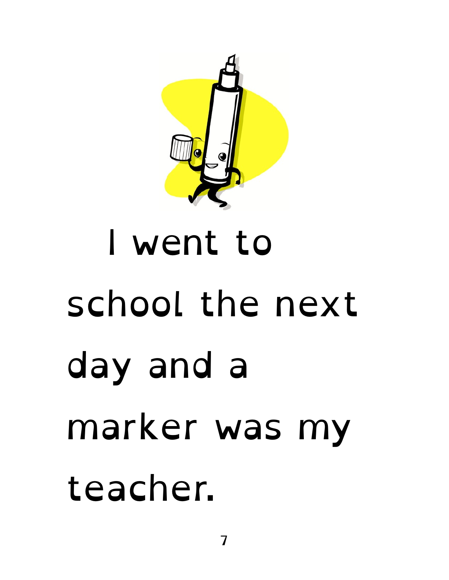

#### I went to school the next day and a marker was my teacher.